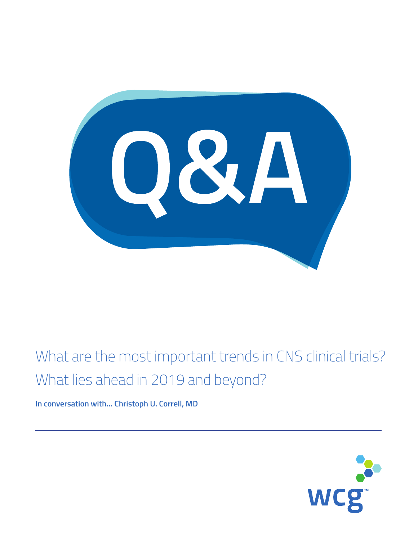08/4

# What are the most important trends in CNS clinical trials? What lies ahead in 2019 and beyond?

**In conversation with… Christoph U. Correll, MD**

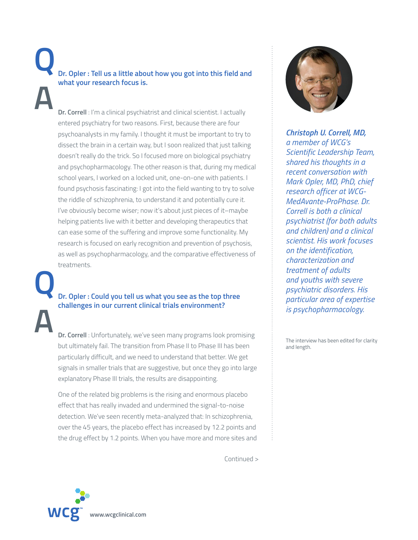## **Dr. Opler : Tell us a little about how you got into this field and what your research focus is. Q A**

**Dr. Correll** : I'm a clinical psychiatrist and clinical scientist. I actually entered psychiatry for two reasons. First, because there are four psychoanalysts in my family. I thought it must be important to try to dissect the brain in a certain way, but I soon realized that just talking doesn't really do the trick. So I focused more on biological psychiatry and psychopharmacology. The other reason is that, during my medical school years, I worked on a locked unit, one-on-one with patients. I found psychosis fascinating: I got into the field wanting to try to solve the riddle of schizophrenia, to understand it and potentially cure it. I've obviously become wiser; now it's about just pieces of it–maybe helping patients live with it better and developing therapeutics that can ease some of the suffering and improve some functionality. My research is focused on early recognition and prevention of psychosis, as well as psychopharmacology, and the comparative effectiveness of treatments.

### **Dr. Opler : Could you tell us what you see as the top three challenges in our current clinical trials environment? Q**

**Dr. Correll** : Unfortunately, we've seen many programs look promising but ultimately fail. The transition from Phase II to Phase III has been particularly difficult, and we need to understand that better. We get signals in smaller trials that are suggestive, but once they go into large explanatory Phase III trials, the results are disappointing.

 One of the related big problems is the rising and enormous placebo effect that has really invaded and undermined the signal-to-noise detection. We've seen recently meta-analyzed that: In schizophrenia, over the 45 years, the placebo effect has increased by 12.2 points and the drug effect by 1.2 points. When you have more and more sites and

Continued >



**A**

*Christoph U. Correll, MD, a member of WCG's Scientific Leadership Team, shared his thoughts in a recent conversation with Mark Opler, MD, PhD, chief research officer at WCG-MedAvante-ProPhase. Dr. Correll is both a clinical psychiatrist (for both adults and children) and a clinical scientist. His work focuses on the identification, characterization and treatment of adults and youths with severe psychiatric disorders. His particular area of expertise is psychopharmacology.*

The interview has been edited for clarity and length.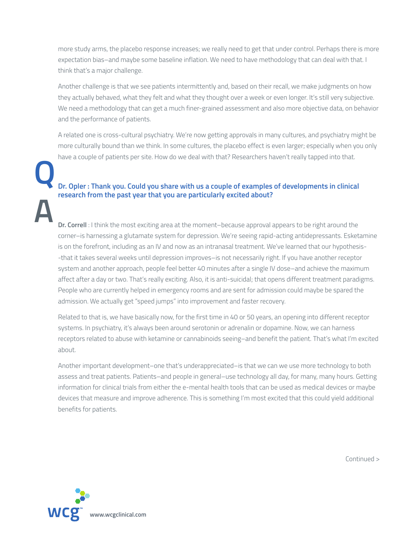more study arms, the placebo response increases; we really need to get that under control. Perhaps there is more expectation bias–and maybe some baseline inflation. We need to have methodology that can deal with that. I think that's a major challenge.

Another challenge is that we see patients intermittently and, based on their recall, we make judgments on how they actually behaved, what they felt and what they thought over a week or even longer. It's still very subjective. We need a methodology that can get a much finer-grained assessment and also more objective data, on behavior and the performance of patients.

 A related one is cross-cultural psychiatry. We're now getting approvals in many cultures, and psychiatry might be more culturally bound than we think. In some cultures, the placebo effect is even larger; especially when you only have a couple of patients per site. How do we deal with that? Researchers haven't really tapped into that.

#### **Dr. Opler : Thank you. Could you share with us a couple of examples of developments in clinical research from the past year that you are particularly excited about?**

**Dr. Correll** : I think the most exciting area at the moment–because approval appears to be right around the corner–is harnessing a glutamate system for depression. We're seeing rapid-acting antidepressants. Esketamine is on the forefront, including as an IV and now as an intranasal treatment. We've learned that our hypothesis- -that it takes several weeks until depression improves–is not necessarily right. If you have another receptor system and another approach, people feel better 40 minutes after a single IV dose-and achieve the maximum affect after a day or two. That's really exciting. Also, it is anti-suicidal; that opens different treatment paradigms. People who are currently helped in emergency rooms and are sent for admission could maybe be spared the admission. We actually get "speed jumps" into improvement and faster recovery.

 Related to that is, we have basically now, for the first time in 40 or 50 years, an opening into different receptor systems. In psychiatry, it's always been around serotonin or adrenalin or dopamine. Now, we can harness receptors related to abuse with ketamine or cannabinoids seeing–and benefit the patient. That's what I'm excited about.

 Another important development–one that's underappreciated–is that we can we use more technology to both assess and treat patients. Patients–and people in general–use technology all day, for many, many hours. Getting information for clinical trials from either the e-mental health tools that can be used as medical devices or maybe devices that measure and improve adherence. This is something I'm most excited that this could yield additional benefits for patients.

Continued >



**Q**

**A**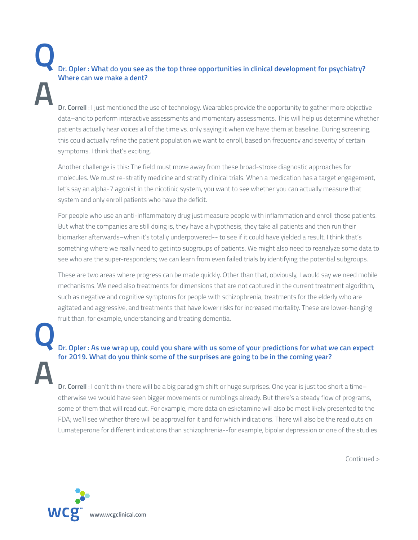**Dr. Opler : What do you see as the top three opportunities in clinical development for psychiatry? Where can we make a dent? Q A**

**Dr. Correll** : I just mentioned the use of technology. Wearables provide the opportunity to gather more objective data–and to perform interactive assessments and momentary assessments. This will help us determine whether patients actually hear voices all of the time vs. only saying it when we have them at baseline. During screening, this could actually refine the patient population we want to enroll, based on frequency and severity of certain symptoms. I think that's exciting.

 Another challenge is this: The field must move away from these broad-stroke diagnostic approaches for molecules. We must re-stratify medicine and stratify clinical trials. When a medication has a target engagement, let's say an alpha-7 agonist in the nicotinic system, you want to see whether you can actually measure that system and only enroll patients who have the deficit.

 For people who use an anti-inflammatory drug just measure people with inflammation and enroll those patients. But what the companies are still doing is, they have a hypothesis, they take all patients and then run their biomarker afterwards–when it's totally underpowered-- to see if it could have yielded a result. I think that's something where we really need to get into subgroups of patients. We might also need to reanalyze some data to see who are the super-responders; we can learn from even failed trials by identifying the potential subgroups.

 These are two areas where progress can be made quickly. Other than that, obviously, I would say we need mobile mechanisms. We need also treatments for dimensions that are not captured in the current treatment algorithm, such as negative and cognitive symptoms for people with schizophrenia, treatments for the elderly who are agitated and aggressive, and treatments that have lower risks for increased mortality. These are lower-hanging fruit than, for example, understanding and treating dementia.

**Q A**

#### **Dr. Opler : As we wrap up, could you share with us some of your predictions for what we can expect for 2019. What do you think some of the surprises are going to be in the coming year?**

**Dr. Correll** : I don't think there will be a big paradigm shift or huge surprises. One year is just too short a time– otherwise we would have seen bigger movements or rumblings already. But there's a steady flow of programs, some of them that will read out. For example, more data on esketamine will also be most likely presented to the FDA; we'll see whether there will be approval for it and for which indications. There will also be the read outs on Lumateperone for different indications than schizophrenia--for example, bipolar depression or one of the studies

Continued >